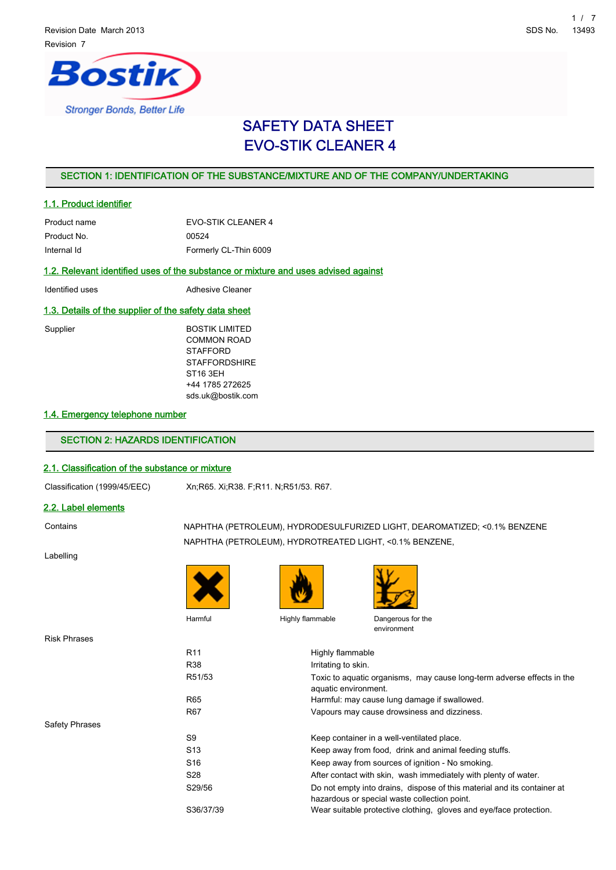# ostik **Stronger Bonds, Better Life**

# SAFETY DATA SHEET EVO-STIK CLEANER 4

# SECTION 1: IDENTIFICATION OF THE SUBSTANCE/MIXTURE AND OF THE COMPANY/UNDERTAKING

# 1.1. Product identifier

| Product name | <b>EVO-STIK CLEANER 4</b> |
|--------------|---------------------------|
| Product No.  | 00524                     |
| Internal Id  | Formerly CL-Thin 6009     |

### 1.2. Relevant identified uses of the substance or mixture and uses advised against

| Identified uses | Adhesive Cleaner |
|-----------------|------------------|
|-----------------|------------------|

### 1.3. Details of the supplier of the safety data sheet

| Supplier | <b>BOSTIK LIMITED</b> |
|----------|-----------------------|
|          | <b>COMMON ROAD</b>    |
|          | <b>STAFFORD</b>       |
|          | <b>STAFFORDSHIRE</b>  |
|          | ST <sub>16</sub> 3EH  |
|          | +44 1785 272625       |
|          | sds.uk@bostik.com     |

### 1.4. Emergency telephone number

# SECTION 2: HAZARDS IDENTIFICATION

# 2.1. Classification of the substance or mixture

Classification (1999/45/EEC) Xn;R65. Xi;R38. F;R11. N;R51/53. R67.

### 2.2. Label elements

Contains NAPHTHA (PETROLEUM), HYDRODESULFURIZED LIGHT, DEAROMATIZED; <0.1% BENZENE NAPHTHA (PETROLEUM), HYDROTREATED LIGHT, <0.1% BENZENE,

Labelling

Risk Phrases

Safety Phrases





Harmful Highly flammable Dangerous for the



environment

R11 Highly flammable R38 Irritating to skin. R51/53 Toxic to aquatic organisms, may cause long-term adverse effects in the aquatic environment. R65 Harmful: may cause lung damage if swallowed. R67 Vapours may cause drowsiness and dizziness. S9 Keep container in a well-ventilated place. S13 Keep away from food, drink and animal feeding stuffs. S16 Keep away from sources of ignition - No smoking. S28 **After contact with skin, wash immediately with plenty of water.** S29/56 Do not empty into drains, dispose of this material and its container at hazardous or special waste collection point. S36/37/39 Wear suitable protective clothing, gloves and eye/face protection.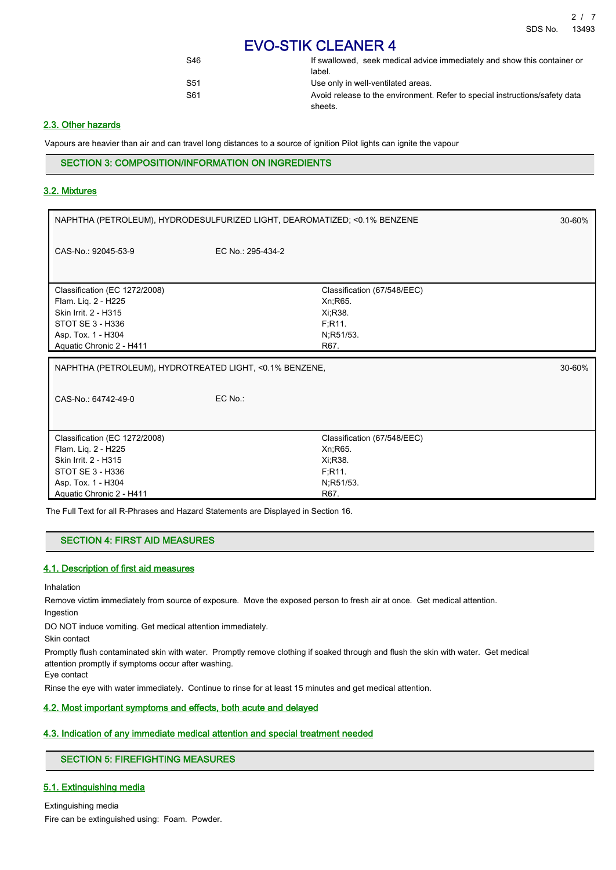| S46 | If swallowed, seek medical advice immediately and show this container or               |
|-----|----------------------------------------------------------------------------------------|
|     | label.                                                                                 |
| S51 | Use only in well-ventilated areas.                                                     |
| S61 | Avoid release to the environment. Refer to special instructions/safety data<br>sheets. |

# 2.3. Other hazards

Vapours are heavier than air and can travel long distances to a source of ignition Pilot lights can ignite the vapour

# SECTION 3: COMPOSITION/INFORMATION ON INGREDIENTS

#### 3.2. Mixtures

| NAPHTHA (PETROLEUM), HYDRODESULFURIZED LIGHT, DEAROMATIZED; <0.1% BENZENE                                                                          |                   |                                                                                    | 30-60% |
|----------------------------------------------------------------------------------------------------------------------------------------------------|-------------------|------------------------------------------------------------------------------------|--------|
| CAS-No.: 92045-53-9                                                                                                                                | EC No.: 295-434-2 |                                                                                    |        |
| Classification (EC 1272/2008)<br>Flam. Lig. 2 - H225<br>Skin Irrit. 2 - H315<br>STOT SE 3 - H336<br>Asp. Tox. 1 - H304<br>Aquatic Chronic 2 - H411 |                   | Classification (67/548/EEC)<br>Xn; R65.<br>Xi, R38.<br>F,R11.<br>N;R51/53.<br>R67. |        |
|                                                                                                                                                    |                   |                                                                                    |        |
| NAPHTHA (PETROLEUM), HYDROTREATED LIGHT, <0.1% BENZENE,                                                                                            |                   |                                                                                    | 30-60% |
| CAS-No.: 64742-49-0                                                                                                                                | EC No.:           |                                                                                    |        |

The Full Text for all R-Phrases and Hazard Statements are Displayed in Section 16.

# SECTION 4: FIRST AID MEASURES

#### 4.1. Description of first aid measures

Inhalation

Remove victim immediately from source of exposure. Move the exposed person to fresh air at once. Get medical attention. Ingestion

DO NOT induce vomiting. Get medical attention immediately.

Skin contact

Promptly flush contaminated skin with water. Promptly remove clothing if soaked through and flush the skin with water. Get medical attention promptly if symptoms occur after washing.

Eye contact

Rinse the eye with water immediately. Continue to rinse for at least 15 minutes and get medical attention.

# 4.2. Most important symptoms and effects, both acute and delayed

#### 4.3. Indication of any immediate medical attention and special treatment needed

# SECTION 5: FIREFIGHTING MEASURES

# 5.1. Extinguishing media

Extinguishing media Fire can be extinguished using: Foam. Powder.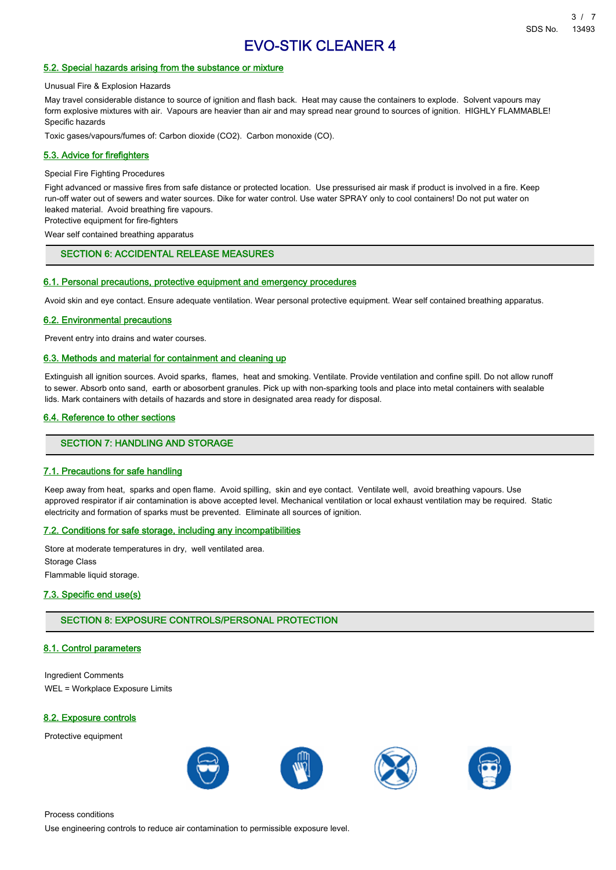## 5.2. Special hazards arising from the substance or mixture

Unusual Fire & Explosion Hazards

May travel considerable distance to source of ignition and flash back. Heat may cause the containers to explode. Solvent vapours may form explosive mixtures with air. Vapours are heavier than air and may spread near ground to sources of ignition. HIGHLY FLAMMABLE! Specific hazards

Toxic gases/vapours/fumes of: Carbon dioxide (CO2). Carbon monoxide (CO).

#### 5.3. Advice for firefighters

#### Special Fire Fighting Procedures

Fight advanced or massive fires from safe distance or protected location. Use pressurised air mask if product is involved in a fire. Keep run-off water out of sewers and water sources. Dike for water control. Use water SPRAY only to cool containers! Do not put water on leaked material. Avoid breathing fire vapours.

Protective equipment for fire-fighters

Wear self contained breathing apparatus

# SECTION 6: ACCIDENTAL RELEASE MEASURES

#### 6.1. Personal precautions, protective equipment and emergency procedures

Avoid skin and eye contact. Ensure adequate ventilation. Wear personal protective equipment. Wear self contained breathing apparatus.

#### 6.2. Environmental precautions

Prevent entry into drains and water courses.

#### 6.3. Methods and material for containment and cleaning up

Extinguish all ignition sources. Avoid sparks, flames, heat and smoking. Ventilate. Provide ventilation and confine spill. Do not allow runoff to sewer. Absorb onto sand, earth or abosorbent granules. Pick up with non-sparking tools and place into metal containers with sealable lids. Mark containers with details of hazards and store in designated area ready for disposal.

### 6.4. Reference to other sections

#### SECTION 7: HANDLING AND STORAGE

#### 7.1. Precautions for safe handling

Keep away from heat, sparks and open flame. Avoid spilling, skin and eye contact. Ventilate well, avoid breathing vapours. Use approved respirator if air contamination is above accepted level. Mechanical ventilation or local exhaust ventilation may be required. Static electricity and formation of sparks must be prevented. Eliminate all sources of ignition.

#### 7.2. Conditions for safe storage, including any incompatibilities

Store at moderate temperatures in dry, well ventilated area. Storage Class Flammable liquid storage.

#### 7.3. Specific end use(s)

#### SECTION 8: EXPOSURE CONTROLS/PERSONAL PROTECTION

#### 8.1. Control parameters

Ingredient Comments WEL = Workplace Exposure Limits

#### 8.2. Exposure controls

Protective equipment



Process conditions

Use engineering controls to reduce air contamination to permissible exposure level.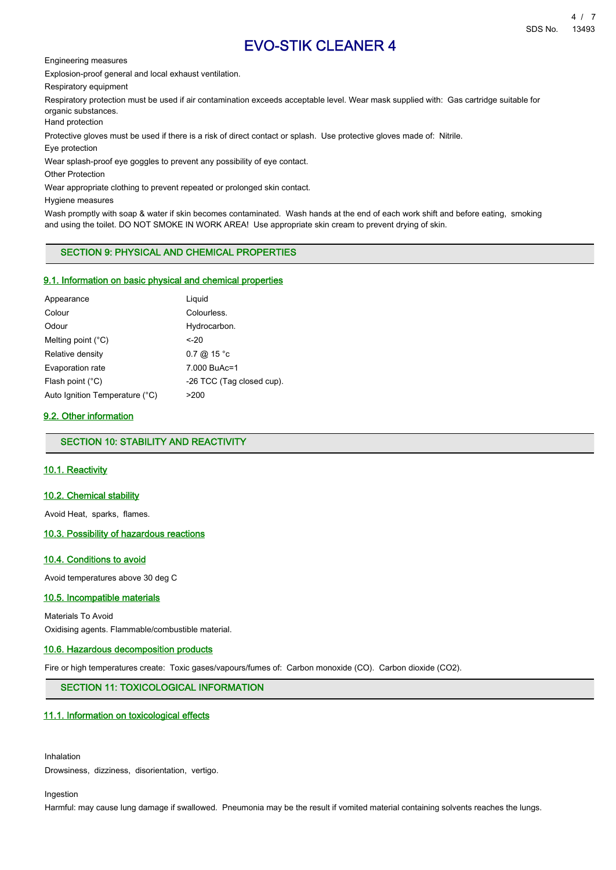Engineering measures

Explosion-proof general and local exhaust ventilation.

Respiratory equipment

Respiratory protection must be used if air contamination exceeds acceptable level. Wear mask supplied with: Gas cartridge suitable for organic substances.

Hand protection

Protective gloves must be used if there is a risk of direct contact or splash. Use protective gloves made of: Nitrile.

Eye protection

Wear splash-proof eye goggles to prevent any possibility of eye contact.

Other Protection

Wear appropriate clothing to prevent repeated or prolonged skin contact.

Hygiene measures

Wash promptly with soap & water if skin becomes contaminated. Wash hands at the end of each work shift and before eating, smoking and using the toilet. DO NOT SMOKE IN WORK AREA! Use appropriate skin cream to prevent drying of skin.

# SECTION 9: PHYSICAL AND CHEMICAL PROPERTIES

#### 9.1. Information on basic physical and chemical properties

| Appearance                     | Liguid                    |
|--------------------------------|---------------------------|
| Colour                         | Colourless.               |
| Odour                          | Hydrocarbon.              |
| Melting point $(^{\circ}C)$    | <-20                      |
| Relative density               | $0.7 \ @ 15 °c$           |
| Evaporation rate               | 7.000 BuAc=1              |
| Flash point $(^{\circ}C)$      | -26 TCC (Tag closed cup). |
| Auto Ignition Temperature (°C) | >200                      |

# 9.2. Other information

# SECTION 10: STABILITY AND REACTIVITY

#### 10.1. Reactivity

#### 10.2. Chemical stability

Avoid Heat, sparks, flames.

# 10.3. Possibility of hazardous reactions

#### 10.4. Conditions to avoid

Avoid temperatures above 30 deg C

#### 10.5. Incompatible materials

Materials To Avoid Oxidising agents. Flammable/combustible material.

#### 10.6. Hazardous decomposition products

Fire or high temperatures create: Toxic gases/vapours/fumes of: Carbon monoxide (CO). Carbon dioxide (CO2).

# SECTION 11: TOXICOLOGICAL INFORMATION

#### 11.1. Information on toxicological effects

Inhalation Drowsiness, dizziness, disorientation, vertigo.

Ingestion

Harmful: may cause lung damage if swallowed. Pneumonia may be the result if vomited material containing solvents reaches the lungs.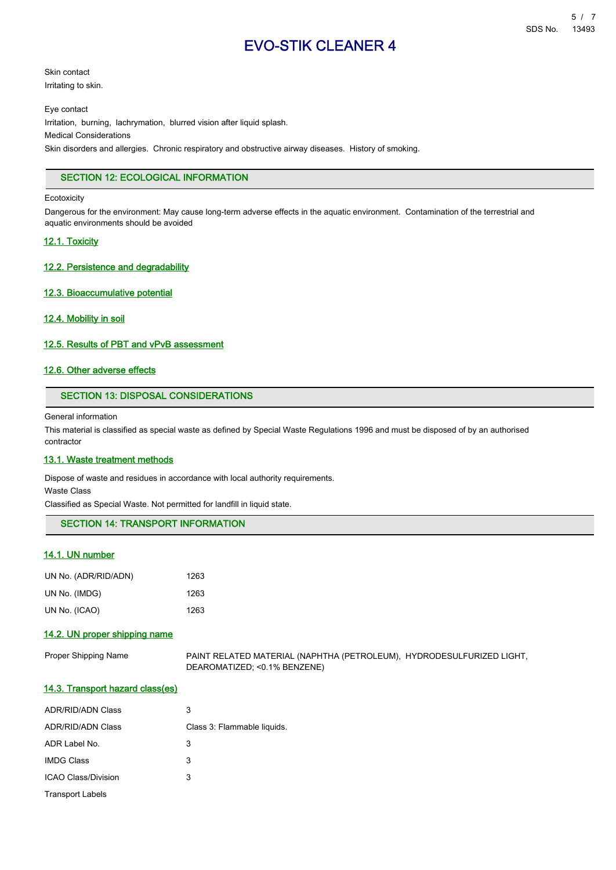7/5

# EVO-STIK CLEANER 4

Skin contact Irritating to skin.

Eye contact

Irritation, burning, lachrymation, blurred vision after liquid splash. Medical Considerations

Skin disorders and allergies. Chronic respiratory and obstructive airway diseases. History of smoking.

# SECTION 12: ECOLOGICAL INFORMATION

#### **Ecotoxicity**

Dangerous for the environment: May cause long-term adverse effects in the aquatic environment. Contamination of the terrestrial and aquatic environments should be avoided

# 12.1. Toxicity

### 12.2. Persistence and degradability

### 12.3. Bioaccumulative potential

### 12.4. Mobility in soil

### 12.5. Results of PBT and vPvB assessment

# 12.6. Other adverse effects

# SECTION 13: DISPOSAL CONSIDERATIONS

General information

This material is classified as special waste as defined by Special Waste Regulations 1996 and must be disposed of by an authorised contractor

#### 13.1. Waste treatment methods

Dispose of waste and residues in accordance with local authority requirements.

Waste Class

Classified as Special Waste. Not permitted for landfill in liquid state.

SECTION 14: TRANSPORT INFORMATION

# 14.1. UN number

| UN No. (ADR/RID/ADN) | 1263 |
|----------------------|------|
| UN No. (IMDG)        | 1263 |
| UN No. (ICAO)        | 1263 |

# 14.2. UN proper shipping name

| Proper Shipping Name | PAINT RELATED MATERIAL (NAPHTHA (PETROLEUM), HYDRODESULFURIZED LIGHT, |  |
|----------------------|-----------------------------------------------------------------------|--|
|                      | DEAROMATIZED; <0.1% BENZENE)                                          |  |

# 14.3. Transport hazard class(es)

| <b>ADR/RID/ADN Class</b> | 3                           |
|--------------------------|-----------------------------|
| <b>ADR/RID/ADN Class</b> | Class 3: Flammable liquids. |
| ADR Label No.            | 3                           |
| <b>IMDG Class</b>        | 3                           |
| ICAO Class/Division      | 3                           |
| <b>Transport Labels</b>  |                             |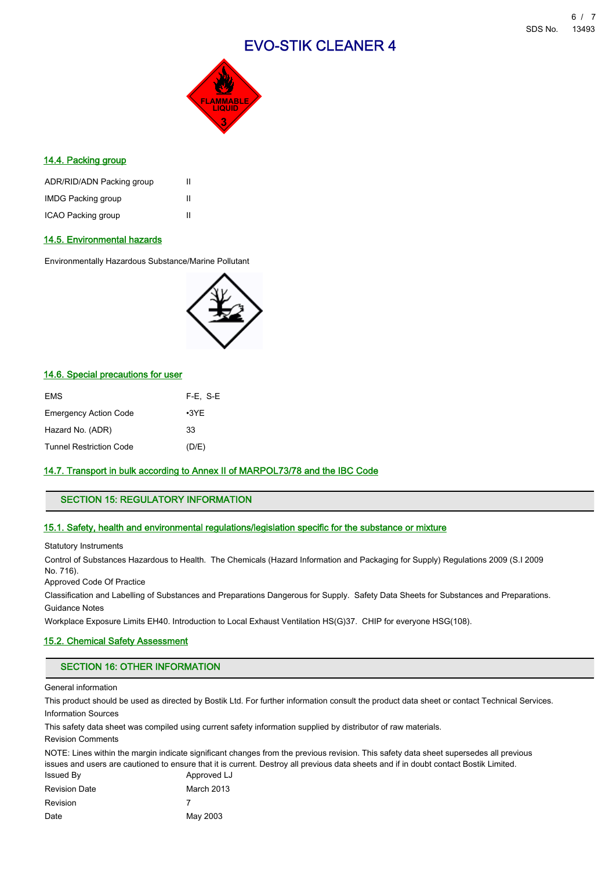

# 14.4. Packing group

| ADR/RID/ADN Packing group | Ш |
|---------------------------|---|
| <b>IMDG Packing group</b> | Ш |
| ICAO Packing group        | Ш |

# 14.5. Environmental hazards

Environmentally Hazardous Substance/Marine Pollutant



# 14.6. Special precautions for user

| EMS                          | $F-E$ , S-E |
|------------------------------|-------------|
| <b>Emergency Action Code</b> | $\cdot$ 3YE |
| Hazard No. (ADR)             | 33          |
| Tunnel Restriction Code      | (D/E)       |

# 14.7. Transport in bulk according to Annex II of MARPOL73/78 and the IBC Code

# SECTION 15: REGULATORY INFORMATION

#### 15.1. Safety, health and environmental regulations/legislation specific for the substance or mixture

Statutory Instruments

Control of Substances Hazardous to Health. The Chemicals (Hazard Information and Packaging for Supply) Regulations 2009 (S.I 2009 No. 716).

Approved Code Of Practice

Classification and Labelling of Substances and Preparations Dangerous for Supply. Safety Data Sheets for Substances and Preparations. Guidance Notes

Workplace Exposure Limits EH40. Introduction to Local Exhaust Ventilation HS(G)37. CHIP for everyone HSG(108).

# 15.2. Chemical Safety Assessment

### SECTION 16: OTHER INFORMATION

General information

This product should be used as directed by Bostik Ltd. For further information consult the product data sheet or contact Technical Services. Information Sources

This safety data sheet was compiled using current safety information supplied by distributor of raw materials.

Revision Comments

NOTE: Lines within the margin indicate significant changes from the previous revision. This safety data sheet supersedes all previous issues and users are cautioned to ensure that it is current. Destroy all previous data sheets and if in doubt contact Bostik Limited.

| Issued By            | Approved LJ |
|----------------------|-------------|
| <b>Revision Date</b> | March 2013  |
| <b>Revision</b>      |             |
| Date                 | May 2003    |